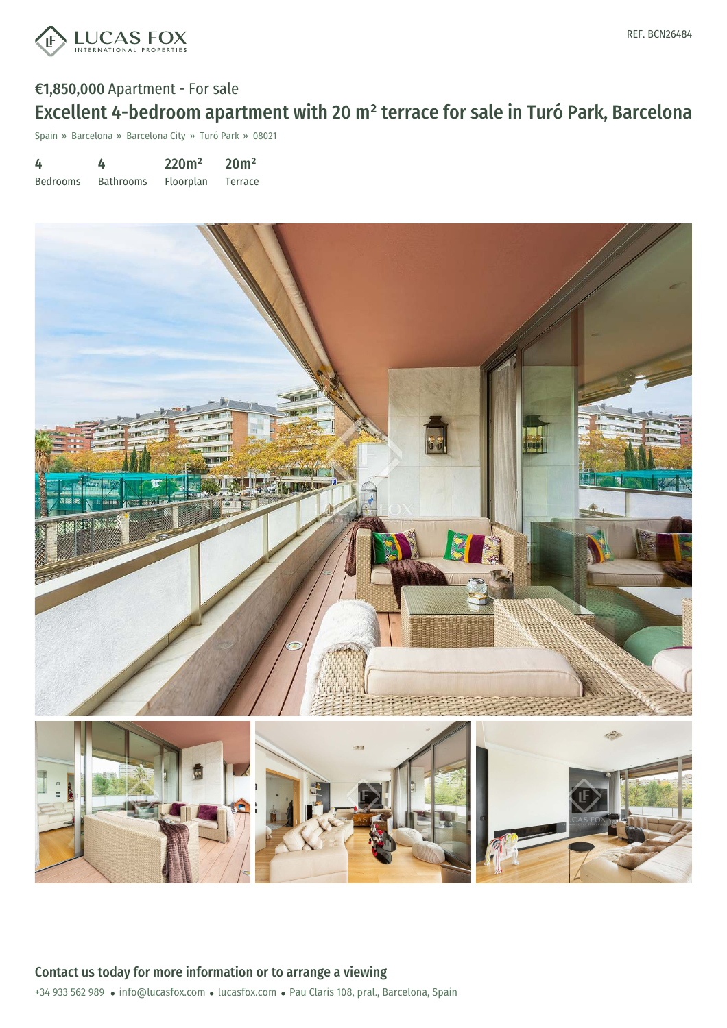

### €1,850,000 Apartment - For sale

# Excellent 4-bedroom apartment with 20 m² terrace for sale in Turó Park, Barcelona

Spain » Barcelona » Barcelona City » Turó Park » 08021

| 4               | 4                | 220m <sup>2</sup> | 20 <sup>m²</sup> |
|-----------------|------------------|-------------------|------------------|
| <b>Bedrooms</b> | <b>Bathrooms</b> | Floorplan         | Terrace          |

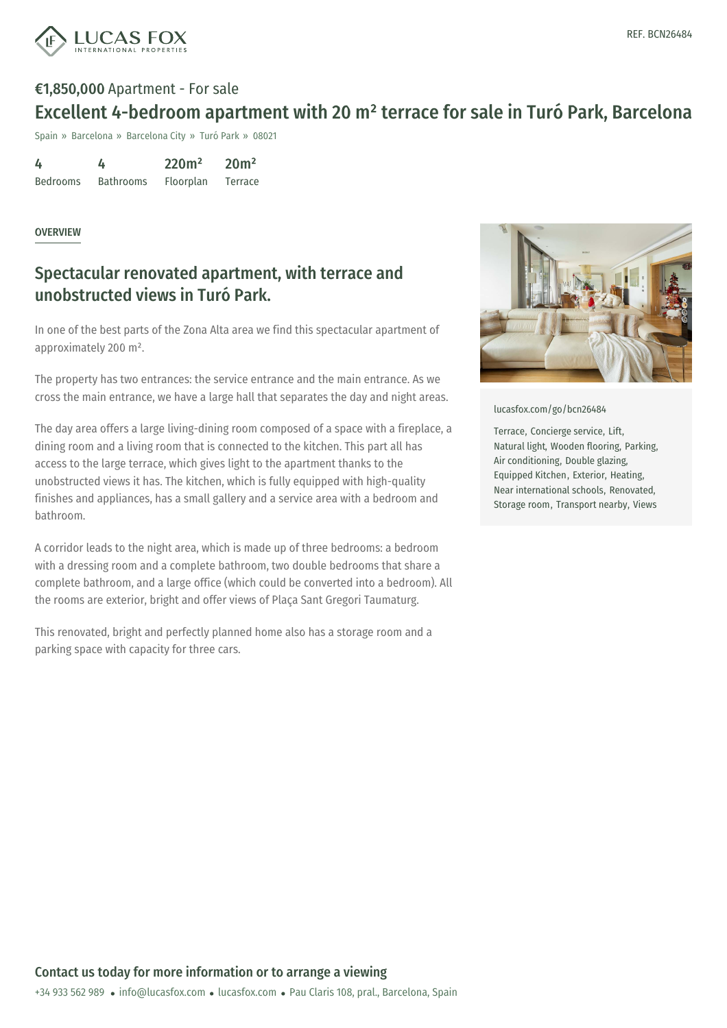

## €1,850,000 Apartment - For sale Excellent 4-bedroom apartment with 20 m² terrace for sale in Turó Park, Barcelona

Spain » Barcelona » Barcelona City » Turó Park » 08021

| 4               | 4                | 220m <sup>2</sup> | 20 <sup>m²</sup> |
|-----------------|------------------|-------------------|------------------|
| <b>Bedrooms</b> | <b>Bathrooms</b> | Floorplan         | <b>Terrace</b>   |

#### **OVERVIEW**

## Spectacular renovated apartment, with terrace and unobstructed views in Turó Park.

In one of the best parts of the Zona Alta area we find this spectacular apartment of approximately 200 m².

The property has two entrances: the service entrance and the main entrance. As we cross the main entrance, we have a large hall that separates the day and night areas.

The day area offers a large living-dining room composed of a space with a fireplace, a dining room and a living room that is connected to the kitchen. This part all has access to the large terrace, which gives light to the apartment thanks to the unobstructed views it has. The kitchen, which is fully equipped with high-quality finishes and appliances, has a small gallery and a service area with a bedroom and bathroom.

A corridor leads to the night area, which is made up of three bedrooms: a bedroom with a dressing room and a complete bathroom, two double bedrooms that share a complete bathroom, and a large office (which could be converted into a bedroom). All the rooms are exterior, bright and offer views of Plaça Sant Gregori Taumaturg.

This renovated, bright and perfectly planned home also has a storage room and a parking space with capacity for three cars.



[lucasfox.com/go/bcn26484](https://www.lucasfox.com/go/bcn26484)

Terrace, Concierge service, Lift, Natural light, Wooden flooring, Parking, Air conditioning, Double glazing, Equipped Kitchen, Exterior, Heating, Near international schools, Renovated, Storage room, Transport nearby, Views